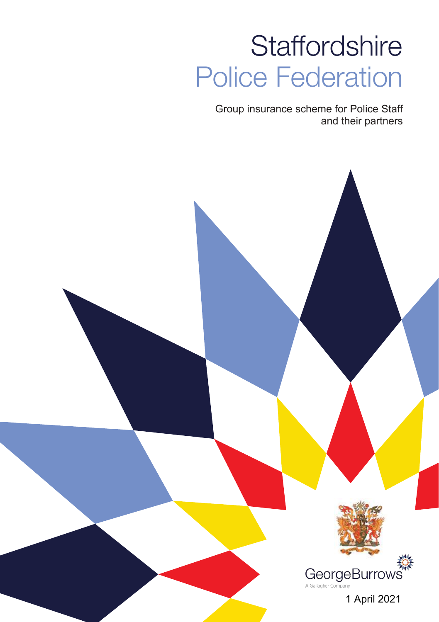# **Staffordshire** Police Federation

Group insurance scheme for Police Staff and their partners



1 April 2021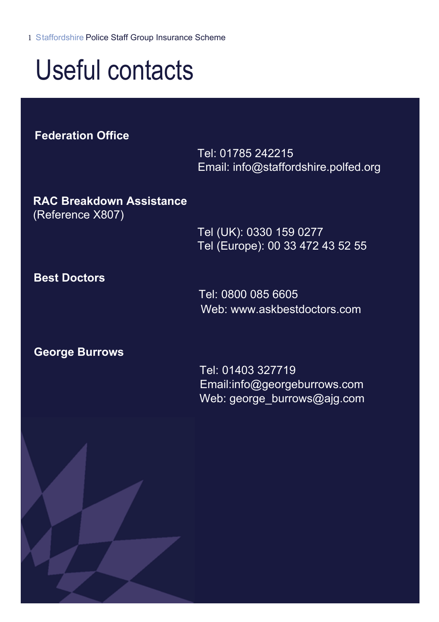Staffordshire Police Staff Group Insurance Scheme

# Useful contacts

**Federation Office**

Tel: 01785 242215 Email: info@staffordshire.polfed.org

**RAC Breakdown Assistance** (Reference X807)

> Tel (UK): 0330 159 0277 Tel (Europe): 00 33 472 43 52 55

### **Best Doctors**

Tel: 0800 085 6605 Web: www.askbestdoctors.com

### **George Burrows**

 Tel: 01403 327719 Email:info@georgeburrows.com Web: george\_burrows@ajg.com

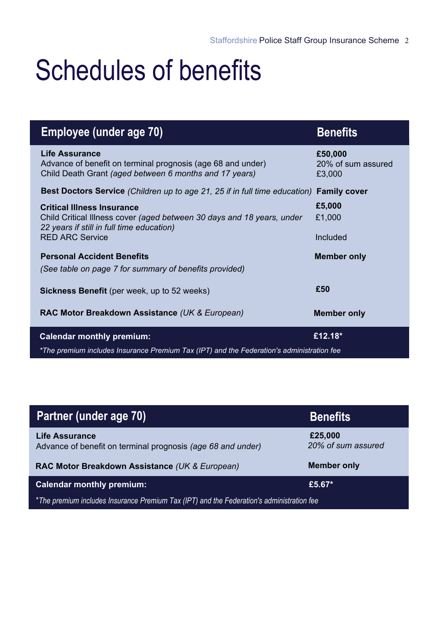# Schedules of benefits

| Employee (under age 70)                                                                                                                                                            | <b>Benefits</b>                         |  |
|------------------------------------------------------------------------------------------------------------------------------------------------------------------------------------|-----------------------------------------|--|
| <b>Life Assurance</b><br>Advance of benefit on terminal prognosis (age 68 and under)<br>Child Death Grant (aged between 6 months and 17 years)                                     | £50,000<br>20% of sum assured<br>£3.000 |  |
| <b>Best Doctors Service</b> (Children up to age 21, 25 if in full time education)                                                                                                  | <b>Family cover</b>                     |  |
| <b>Critical Illness Insurance</b><br>Child Critical Illness cover (aged between 30 days and 18 years, under<br>22 years if still in full time education)<br><b>RED ARC Service</b> | £5,000<br>£1.000<br>Included            |  |
| <b>Personal Accident Benefits</b><br>(See table on page 7 for summary of benefits provided)                                                                                        | <b>Member only</b>                      |  |
| <b>Sickness Benefit</b> (per week, up to 52 weeks)                                                                                                                                 | £50                                     |  |
| RAC Motor Breakdown Assistance (UK & European)                                                                                                                                     | <b>Member only</b>                      |  |
| <b>Calendar monthly premium:</b>                                                                                                                                                   | £12.18*                                 |  |
| *The premium includes Insurance Premium Tax (IPT) and the Federation's administration fee                                                                                          |                                         |  |

| Partner (under age 70)                                                                    | <b>Benefits</b>               |  |
|-------------------------------------------------------------------------------------------|-------------------------------|--|
| <b>Life Assurance</b><br>Advance of benefit on terminal prognosis (age 68 and under)      | £25,000<br>20% of sum assured |  |
| RAC Motor Breakdown Assistance (UK & European)                                            | <b>Member only</b>            |  |
| <b>Calendar monthly premium:</b>                                                          | £5.67 $*$                     |  |
| *The premium includes Insurance Premium Tax (IPT) and the Federation's administration fee |                               |  |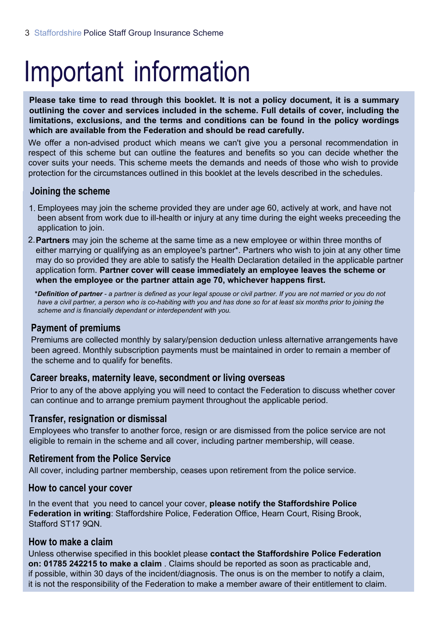# Important information

**Please take time to read through this booklet. It is not a policy document, it is a summary outlining the cover and services included in the scheme. Full details of cover, including the limitations, exclusions, and the terms and conditions can be found in the policy wordings which are available from the Federation and should be read carefully.**

We offer a non-advised product which means we can't give you a personal recommendation in respect of this scheme but can outline the features and benefits so you can decide whether the cover suits your needs. This scheme meets the demands and needs of those who wish to provide protection for the circumstances outlined in this booklet at the levels described in the schedules.

### **Joining the scheme**

- 1. Employees may join the scheme provided they are under age 60, actively at work, and have not been absent from work due to ill-health or injury at any time during the eight weeks preceeding the application to join.
- 2.**Partners** may join the scheme at the same time as a new employee or within three months of either marrying or qualifying as an employee's partner\*. Partners who wish to join at any other time may do so provided they are able to satisfy the Health Declaration detailed in the applicable partner application form. **Partner cover will cease immediately an employee leaves the scheme or when the employee or the partner attain age 70, whichever happens first.**

*\*Definition of partner - a partner is defined as your legal spouse or civil partner. If you are not married or you do not have a civil partner, a person who is co-habiting with you and has done so for at least six months prior to joining the scheme and is financially dependant or interdependent with you.*

### **Payment of premiums**

Premiums are collected monthly by salary/pension deduction unless alternative arrangements have been agreed. Monthly subscription payments must be maintained in order to remain a member of the scheme and to qualify for benefits.

### **Career breaks, maternity leave, secondment or living overseas**

Prior to any of the above applying you will need to contact the Federation to discuss whether cover can continue and to arrange premium payment throughout the applicable period.

### **Transfer, resignation or dismissal**

Employees who transfer to another force, resign or are dismissed from the police service are not eligible to remain in the scheme and all cover, including partner membership, will cease.

### **Retirement from the Police Service**

All cover, including partner membership, ceases upon retirement from the police service.

### **How to cancel your cover**

In the event that you need to cancel your cover, **please notify the Staffordshire Police Federation in writing**: Staffordshire Police, Federation Office, Hearn Court, Rising Brook, Stafford ST17 9ON

### **How to make a claim**

Unless otherwise specified in this booklet please **contact the Staffordshire Police Federation on: 01785 242215 to make a claim** . Claims should be reported as soon as practicable and, if possible, within 30 days of the incident/diagnosis. The onus is on the member to notify a claim, it is not the responsibility of the Federation to make a member aware of their entitlement to claim.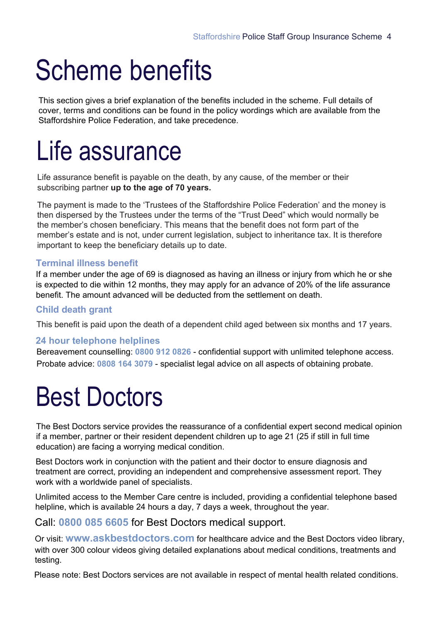# Scheme benefits

This section gives a brief explanation of the benefits included in the scheme. Full details of cover, terms and conditions can be found in the policy wordings which are available from the Staffordshire Police Federation, and take precedence.

## Life assurance

Life assurance benefit is payable on the death, by any cause, of the member or their subscribing partner **up to the age of 70 years.** 

The payment is made to the 'Trustees of the Staffordshire Police Federation' and the money is then dispersed by the Trustees under the terms of the "Trust Deed" which would normally be the member's chosen beneficiary. This means that the benefit does not form part of the member's estate and is not, under current legislation, subject to inheritance tax. It is therefore important to keep the beneficiary details up to date.

### **Terminal illness benefit**

If a member under the age of 69 is diagnosed as having an illness or injury from which he or she is expected to die within 12 months, they may apply for an advance of 20% of the life assurance benefit. The amount advanced will be deducted from the settlement on death.

### **Child death grant**

This benefit is paid upon the death of a dependent child aged between six months and 17 years.

### **24 hour telephone helplines**

Bereavement counselling: **0800 912 0826** - confidential support with unlimited telephone access. Probate advice: **0808 164 3079** - specialist legal advice on all aspects of obtaining probate.

### Best Doctors

The Best Doctors service provides the reassurance of a confidential expert second medical opinion if a member, partner or their resident dependent children up to age 21 (25 if still in full time education) are facing a worrying medical condition.

Best Doctors work in conjunction with the patient and their doctor to ensure diagnosis and treatment are correct, providing an independent and comprehensive assessment report. They work with a worldwide panel of specialists.

Unlimited access to the Member Care centre is included, providing a confidential telephone based helpline, which is available 24 hours a day, 7 days a week, throughout the year.

### Call: **0800 085 6605** for Best Doctors medical support.

Or visit: **www.askbestdoctors.com** for healthcare advice and the Best Doctors video library, with over 300 colour videos giving detailed explanations about medical conditions, treatments and testing.

Please note: Best Doctors services are not available in respect of mental health related conditions.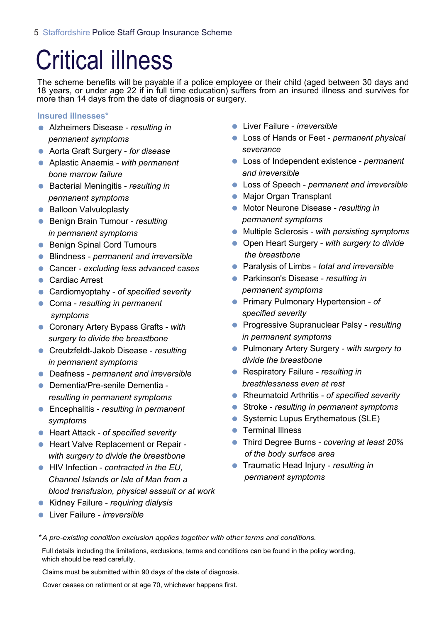## Critical illness

The scheme benefits will be payable if a police employee or their child (aged between 30 days and 18 years, or under age 22 if in full time education) suffers from an insured illness and survives for more than 14 days from the date of diagnosis or surgery.

**Insured illnesses\***

- Alzheimers Disease *resulting in permanent symptoms*
- Aorta Graft Surgery *for disease*
- Aplastic Anaemia *with permanent bone marrow failure*
- Bacterial Meningitis *resulting in permanent symptoms*
- Balloon Valvuloplasty
- **Benign Brain Tumour** *resulting in permanent symptoms*
- Benign Spinal Cord Tumours
- Blindness *permanent and irreversible*
- Cancer *excluding less advanced cases*
- Cardiac Arrest
- Cardiomyoptahy *of specified severity*
- Coma *resulting in permanent symptoms*
- Coronary Artery Bypass Grafts *with surgery to divide the breastbone*
- Creutzfeldt-Jakob Disease *resulting in permanent symptoms*
- Deafness *permanent and irreversible*
- Dementia/Pre-senile Dementia *resulting in permanent symptoms*
- Encephalitis *resulting in permanent symptoms*
- Heart Attack *of specified severity*
- Heart Valve Replacement or Repair *with surgery to divide the breastbone*
- HIV Infection *contracted in the EU, Channel Islands or Isle of Man from a blood transfusion, physical assault or at work*
- Kidney Failure *requiring dialysis*
- Liver Failure *irreversible*
- Liver Failure *irreversible*
- Loss of Hands or Feet *permanent physical severance*
- Loss of Independent existence *permanent and irreversible*
- Loss of Speech *permanent and irreversible*
- Major Organ Transplant
- Motor Neurone Disease *resulting in permanent symptoms*
- Multiple Sclerosis *with persisting symptoms*
- Open Heart Surgery *with surgery to divide the breastbone*
- Paralysis of Limbs *total and irreversible*
- Parkinson's Disease *resulting in permanent symptoms*
- Primary Pulmonary Hypertension *of specified severity*
- Progressive Supranuclear Palsy *resulting in permanent symptoms*
- Pulmonary Artery Surgery *with surgery to divide the breastbone*
- Respiratory Failure *resulting in breathlessness even at rest*
- Rheumatoid Arthritis *of specified severity*
- Stroke *resulting in permanent symptoms*
- Systemic Lupus Erythematous (SLE)
- **•** Terminal Illness
- Third Degree Burns *covering at least 20% of the body surface area*
- Traumatic Head Injury *resulting in permanent symptoms*
- *\*A pre-existing condition exclusion applies together with other terms and conditions.*

Full details including the limitations, exclusions, terms and conditions can be found in the policy wording, which should be read carefully.

Claims must be submitted within 90 days of the date of diagnosis.

Cover ceases on retirment or at age 70, whichever happens first.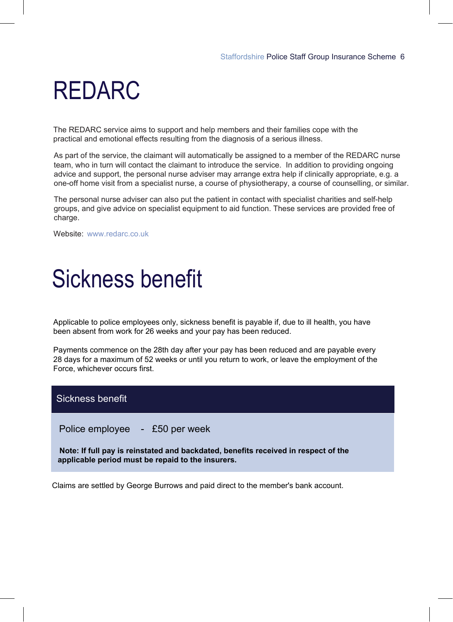## REDARC

The REDARC service aims to support and help members and their families cope with the practical and emotional effects resulting from the diagnosis of a serious illness.

As part of the service, the claimant will automatically be assigned to a member of the REDARC nurse team, who in turn will contact the claimant to introduce the service. In addition to providing ongoing advice and support, the personal nurse adviser may arrange extra help if clinically appropriate, e.g. a one-off home visit from a specialist nurse, a course of physiotherapy, a course of counselling, or similar.

The personal nurse adviser can also put the patient in contact with specialist charities and self-help groups, and give advice on specialist equipment to aid function. These services are provided free of charge.

Website: www.redarc.co.uk

## Sickness benefit

Applicable to police employees only, sickness benefit is payable if, due to ill health, you have been absent from work for 26 weeks and your pay has been reduced.

Payments commence on the 28th day after your pay has been reduced and are payable every 28 days for a maximum of 52 weeks or until you return to work, or leave the employment of the Force, whichever occurs first.

### Sickness benefit

Police employee - £50 per week

**Note: If full pay is reinstated and backdated, benefits received in respect of the applicable period must be repaid to the insurers.** 

Claims are settled by George Burrows and paid direct to the member's bank account.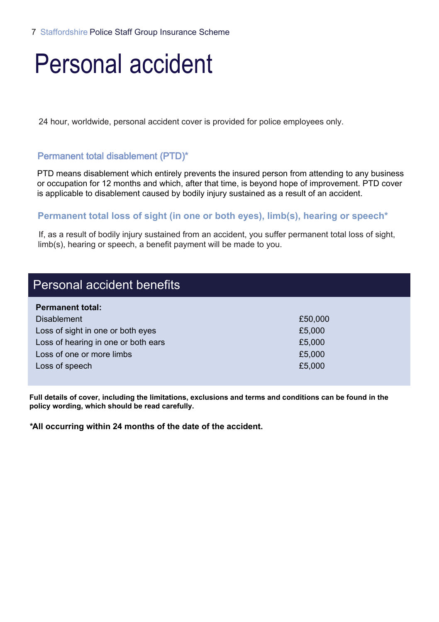## Personal accident

24 hour, worldwide, personal accident cover is provided for police employees only.

### Permanent total disablement (PTD)\*

PTD means disablement which entirely prevents the insured person from attending to any business or occupation for 12 months and which, after that time, is beyond hope of improvement. PTD cover is applicable to disablement caused by bodily injury sustained as a result of an accident.

### **Permanent total loss of sight (in one or both eyes), limb(s), hearing or speech\***

If, as a result of bodily injury sustained from an accident, you suffer permanent total loss of sight, limb(s), hearing or speech, a benefit payment will be made to you.

| Personal accident benefits          |         |
|-------------------------------------|---------|
| <b>Permanent total:</b>             |         |
| <b>Disablement</b>                  | £50,000 |
| Loss of sight in one or both eyes   | £5,000  |
| Loss of hearing in one or both ears | £5,000  |
| Loss of one or more limbs           | £5,000  |
| Loss of speech                      | £5,000  |
|                                     |         |

**Full details of cover, including the limitations, exclusions and terms and conditions can be found in the policy wording, which should be read carefully.**

**\*All occurring within 24 months of the date of the accident.**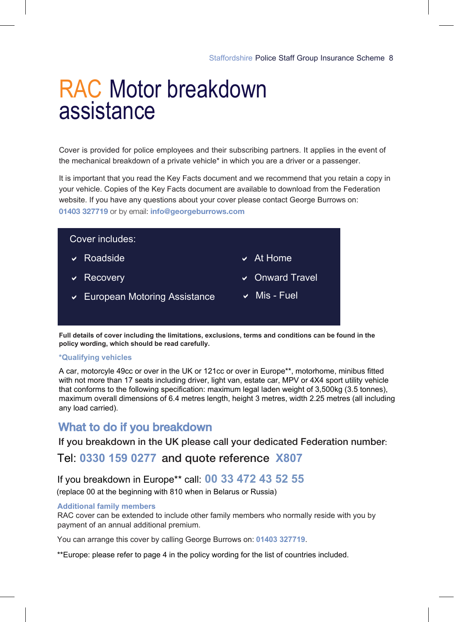### RAC Motor breakdown assistance

Cover is provided for police employees and their subscribing partners. It applies in the event of the mechanical breakdown of a private vehicle\* in which you are a driver or a passenger.

It is important that you read the Key Facts document and we recommend that you retain a copy in your vehicle. Copies of the Key Facts document are available to download from the Federation website. If you have any questions about your cover please contact George Burrows on: **01403 327719** or by email: **info@georgeburrows.com**



**Full details of cover including the limitations, exclusions, terms and conditions can be found in the policy wording, which should be read carefully.** 

### **\*Qualifying vehicles**

A car, motorcyle 49cc or over in the UK or 121cc or over in Europe\*\*, motorhome, minibus fitted with not more than 17 seats including driver, light van, estate car, MPV or 4X4 sport utility vehicle that conforms to the following specification: maximum legal laden weight of 3,500kg (3.5 tonnes), maximum overall dimensions of 6.4 metres length, height 3 metres, width 2.25 metres (all including any load carried).

### What to do if you breakdown

If you breakdown in the UK please call your dedicated Federation number:

### Tel: **0330 159 0277** and quote reference **X807**

### If you breakdown in Europe\*\* call: **00 33 472 43 52 55**

(replace 00 at the beginning with 810 when in Belarus or Russia)

#### **Additional family members**

RAC cover can be extended to include other family members who normally reside with you by payment of an annual additional premium.

You can arrange this cover by calling George Burrows on: **01403 327719**.

\*\*Europe: please refer to page 4 in the policy wording for the list of countries included.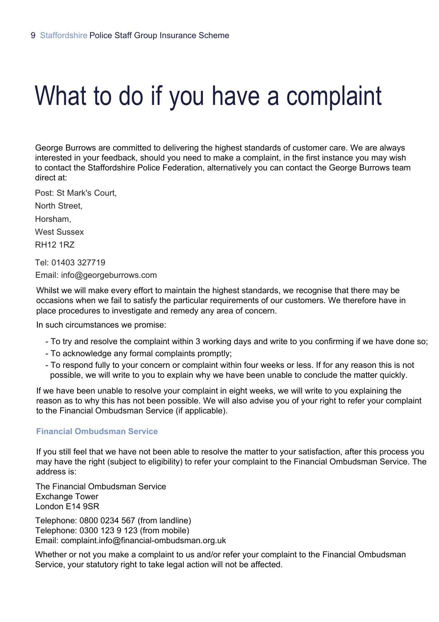# What to do if you have a complaint

George Burrows are committed to delivering the highest standards of customer care. We are always interested in your feedback, should you need to make a complaint, in the first instance you may wish to contact the Staffordshire Police Federation, alternatively you can contact the George Burrows team direct at:

Post: St Mark's Court,

North Street,

Horsham,

West Sussex

RH12 1RZ

Tel: 01403 327719 Email: info@georgeburrows.com

Whilst we will make every effort to maintain the highest standards, we recognise that there may be occasions when we fail to satisfy the particular requirements of our customers. We therefore have in place procedures to investigate and remedy any area of concern.

In such circumstances we promise:

- To try and resolve the complaint within 3 working days and write to you confirming if we have done so;
- To acknowledge any formal complaints promptly;
- To respond fully to your concern or complaint within four weeks or less. If for any reason this is not possible, we will write to you to explain why we have been unable to conclude the matter quickly.

If we have been unable to resolve your complaint in eight weeks, we will write to you explaining the reason as to why this has not been possible. We will also advise you of your right to refer your complaint to the Financial Ombudsman Service (if applicable).

### **Financial Ombudsman Service**

If you still feel that we have not been able to resolve the matter to your satisfaction, after this process you may have the right (subject to eligibility) to refer your complaint to the Financial Ombudsman Service. The address is:

The Financial Ombudsman Service Exchange Tower London E14 9SR

Telephone: 0800 0234 567 (from landline) Telephone: 0300 123 9 123 (from mobile) Email: complaint.info@financial-ombudsman.org.uk

Whether or not you make a complaint to us and/or refer your complaint to the Financial Ombudsman Service, your statutory right to take legal action will not be affected.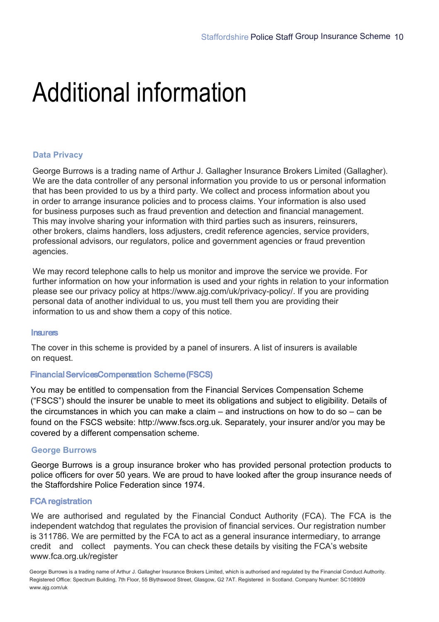## Additional information

#### **Data Privacy**

George Burrows is a trading name of Arthur J. Gallagher Insurance Brokers Limited (Gallagher). We are the data controller of any personal information you provide to us or personal information that has been provided to us by a third party. We collect and process information about you in order to arrange insurance policies and to process claims. Your information is also used for business purposes such as fraud prevention and detection and financial management. This may involve sharing your information with third parties such as insurers, reinsurers, other brokers, claims handlers, loss adjusters, credit reference agencies, service providers, professional advisors, our regulators, police and government agencies or fraud prevention agencies.

We may record telephone calls to help us monitor and improve the service we provide. For further information on how your information is used and your rights in relation to your information please see our privacy policy at https://www.ajg.com/uk/privacy-policy/. If you are providing personal data of another individual to us, you must tell them you are providing their information to us and show them a copy of this notice.

#### **Insurers**

The cover in this scheme is provided by a panel of insurers. A list of insurers is available on request.

#### **Financial ServicesCompensation Scheme (FSCS)**

You may be entitled to compensation from the Financial Services Compensation Scheme ("FSCS") should the insurer be unable to meet its obligations and subject to eligibility. Details of the circumstances in which you can make a claim – and instructions on how to do so – can be found on the FSCS website: http://www.fscs.org.uk. Separately, your insurer and/or you may be covered by a different compensation scheme.

#### **George Burrows**

George Burrows is a group insurance broker who has provided personal protection products to police officers for over 50 years. We are proud to have looked after the group insurance needs of the Staffordshire Police Federation since 1974.

#### **FCA registration**

We are authorised and regulated by the Financial Conduct Authority (FCA). The FCA is the independent watchdog that regulates the provision of financial services. Our registration number is 311786. We are permitted by the FCA to act as a general insurance intermediary, to arrange credit and collect payments. You can check these details by visiting the FCA's website www.fca.org.uk/register

George Burrows is a trading name of Arthur J. Gallagher Insurance Brokers Limited, which is authorised and regulated by the Financial Conduct Authority. Registered Office: Spectrum Building, 7th Floor, 55 Blythswood Street, Glasgow, G2 7AT. Registered in Scotland. Company Number: SC108909 www.ajg.com/uk